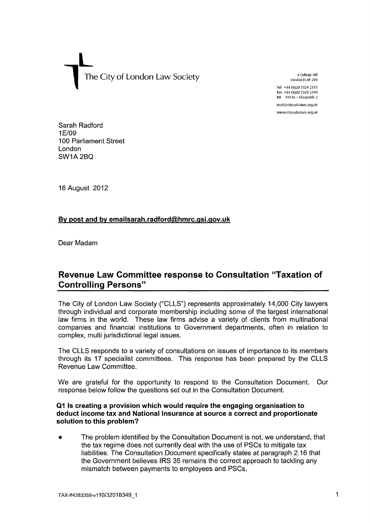**L**  The City of London Law Society **1** A College Hill **1** College Hill **1** College Hill **1** College Hill **1** London EC4R 2RB The CAR 2RB **The CAR** 2RB **The CAR** 2RB **The CAR** 2RB **The CAR** 2RB **The CAR** 2RB **The CAR** 2RB **The** 

Tel +44 (0)20 7329 2173 Fax +44 (0)20 7329 2190 DX 98936 - Cheapside 2

[mail@cjtysolicitofs.org.uk](mailto:mail@cjtysolicitofs.org.uk)  [www.citysolicitors.org.uk](http://www.citysolicitors.org.uk) 

Sarah Radford 1E/09 100 Parliament Street London SW1A2BQ

16 August 2012

## By post and by emailsarah.radford@hmrc.gsi.gov.uk

Dear Madam

# **Revenue Law Committee response to Consultation "Taxation of Controlling Persons"**

The City of London Law Society ("CLLS") represents approximately 14,000 City lawyers through individual and corporate membership including some of the largest international law firms in the world. These law firms advise a variety of clients from multinational companies and financial institutions to Government departments, often in relation to complex, multi jurisdictional legal issues.

The CLLS responds to a variety of consultations on issues of importance to its members through its 17 specialist committees. This response has been prepared by the CLLS Revenue Law Committee.

We are grateful for the opportunity to respond to the Consultation Document. Our response below follow the questions set out in the Consultation Document.

#### **Q1 Is creating a provision which would require the engaging organisation to deduct income tax and National Insurance at source a correct and proportionate solution to this problem?**

The problem identified by the Consultation Document is not, we understand, that the tax regime does not currently deal with the use of PSCs to mitigate tax liabilities. The Consultation Document specifically states at paragraph 2.16 that the Government believes IRS 35 remains the correct approach to tackling any mismatch between payments to employees and PSCs.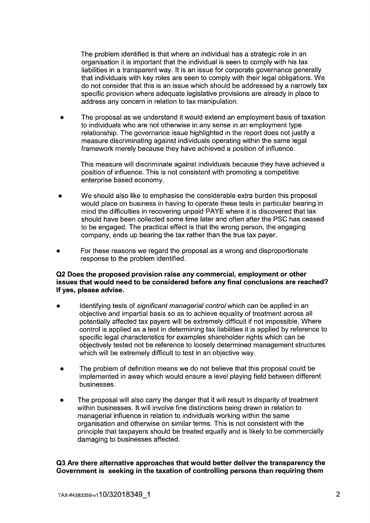The problem identified is that where an individual has a strategic role in an organisation it is important that the individual is seen to comply with his tax liabilities in a transparent way. It is an issue for corporate governance generally that individuals with key roles are seen to comply with their legal obligations. We do not consider that this is an issue which should be addressed by a narrowly tax specific provision where adequate legislative provisions are already in place to address any concern in relation to tax manipulation.

• The proposal as we understand it would extend an employment basis of taxation to individuals who are not otherwise in any sense in an employment type relationship. The governance issue highlighted in the report does not justify a measure discriminating against individuals operating within the same legal framework merely because they have achieved a position of influence.

This measure will discriminate against individuals because they have achieved a position of influence. This is not consistent with promoting a competitive enterprise based economy.

- We should also like to emphasise the considerable extra burden this proposal would place on business in having to operate these tests in particular bearing in mind the difficulties in recovering unpaid PAYE where it is discovered that tax should have been collected some time later and often after the PSC has ceased to be engaged. The practical effect is that the wrong person, the engaging company, ends up bearing the tax rather than the true tax payer.
- For these reasons we regard the proposal as a wrong and disproportionate response to the problem identified.

#### **Q2 Does the proposed provision raise any commercial, employment or other issues that would need to be considered before any final conclusions are reached? If yes, please advise.**

- Identifying tests of significant managerial control which can be applied in an objective and impartial basis so as to achieve equality of treatment across all potentially affected tax payers will be extremely difficult if not impossible. Where control is applied as a test in determining tax liabilities it is applied by reference to specific legal characteristics for examples shareholder rights which can be objectively tested not be reference to loosely determined management structures which will be extremely difficult to test in an objective way.
- The problem of definition means we do not believe that this proposal could be implemented in away which would ensure a level playing field between different businesses.
- The proposal will also carry the danger that it will result in disparity of treatment within businesses. It will involve fine distinctions being drawn in relation to managerial influence in relation to individuals working within the same organisation and otherwise on similar terms. This is not consistent with the principle that taxpayers should be treated equally and is likely to be commercially damaging to businesses affected.

**Q3 Are there alternative approaches that would better deliver the transparency the Government is seeking in the taxation of controlling persons than requiring them**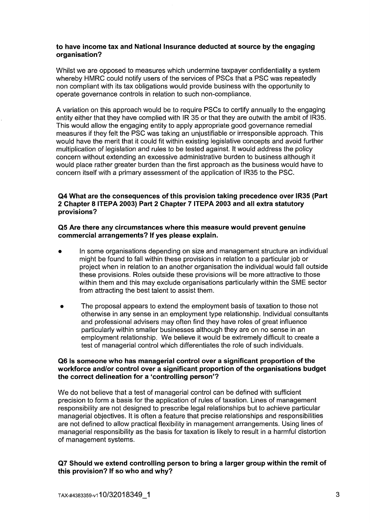#### **to have income tax and National Insurance deducted at source by the engaging organisation?**

Whilst we are opposed to measures which undermine taxpayer confidentiality a system whereby HMRC could notify users of the services of PSCs that a PSC was repeatedly non compliant with its tax obligations would provide business with the opportunity to operate governance controls in relation to such non-compliance.

A variation on this approach would be to require PSCs to certify annually to the engaging entity either that they have complied with IR **35** or that they are outwith the ambit of IR35. This would allow the engaging entity to apply appropriate good governance remedial measures if they felt the PSC was taking an unjustifiable or irresponsible approach. This would have the merit that it could fit within existing legislative concepts and avoid further multiplication of legislation and rules to be tested against. It would address the policy concern without extending an excessive administrative burden to business although it would place rather greater burden than the first approach as the business would have to concern itself with a primary assessment of the application of IR35 to the PSC.

## **Q4 What are the consequences of this provision taking precedence over IR35 (Part 2 Chapter 8 ITEPA 2003) Part 2 Chapter 7 ITEPA 2003 and all extra statutory provisions?**

#### **Q5 Are there any circumstances where this measure would prevent genuine commercial arrangements? If yes please explain.**

- In some organisations depending on size and management structure an individual might be found to fall within these provisions in relation to a particular job or project when in relation to an another organisation the individual would fall outside these provisions. Roles outside these provisions will be more attractive to those within them and this may exclude organisations particularly within the SME sector from attracting the best talent to assist them.
- The proposal appears to extend the employment basis of taxation to those not otherwise in any sense in an employment type relationship. Individual consultants and professional advisers may often find they have roles of great influence particularly within smaller businesses although they are on no sense in an employment relationship. We believe it would be extremely difficult to create a test of managerial control which differentiates the role of such individuals.

#### **Q6 Is someone who has managerial control over a significant proportion of the workforce and/or control over a significant proportion of the organisations budget the correct delineation for a 'controlling person'?**

We do not believe that a test of managerial control can be defined with sufficient precision to form a basis for the application of rules of taxation. Lines of management responsibility are not designed to prescribe legal relationships but to achieve particular managerial objectives. It is often a feature that precise relationships and responsibilities are not defined to allow practical flexibility in management arrangements. Using lines of managerial responsibility as the basis for taxation is likely to result in a harmful distortion of management systems.

## **Q7 Should we extend controlling person to bring a larger group within the remit of this provision? If so who and why?**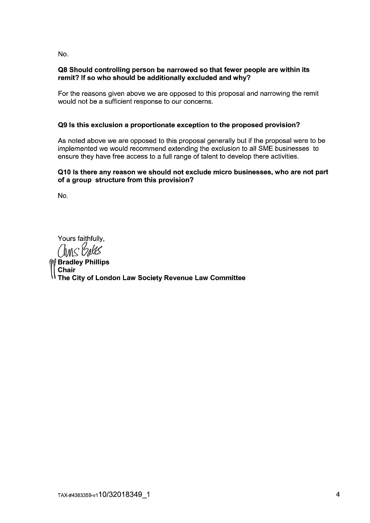**No.** 

## **Q8 Should controlling person be narrowed so that fewer people are within its remit? If so who should be additionally excluded and why?**

For the reasons given above we are opposed to this proposal and narrowing the remit would not be a sufficient response to our concerns.

# **Q9 Is this exclusion a proportionate exception to the proposed provision?**

As noted above we are opposed to this proposal generally but if the proposal were to be implemented we would recommend extending the exclusion to all SME businesses to ensure they have free access to a full range of talent to develop there activities.

## **Q10 Is there any reason we should not exclude micro businesses, who are not part of a group structure from this provision?**

No.

Yours faithfully,<br>
MS *VMS* 

**[ Chair Bradley Phillips The City of London Law Society Revenue Law Committee**